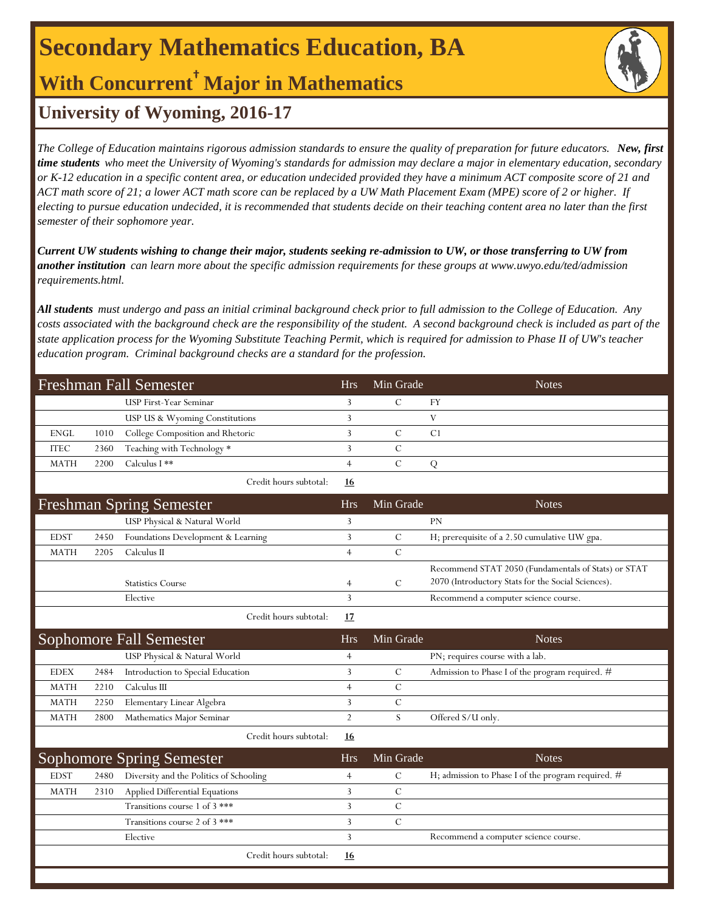# **Secondary Mathematics Education, BA**

**With Concurrent† Major in Mathematics**

### **University of Wyoming, 2016-17**

*The College of Education maintains rigorous admission standards to ensure the quality of preparation for future educators. New, first time students who meet the University of Wyoming's standards for admission may declare a major in elementary education, secondary or K-12 education in a specific content area, or education undecided provided they have a minimum ACT composite score of 21 and ACT math score of 21; a lower ACT math score can be replaced by a UW Math Placement Exam (MPE) score of 2 or higher. If electing to pursue education undecided, it is recommended that students decide on their teaching content area no later than the first semester of their sophomore year.*

*Current UW students wishing to change their major, students seeking re-admission to UW, or those transferring to UW from another institution can learn more about the specific admission requirements for these groups at www.uwyo.edu/ted/admission requirements.html.* 

*All students must undergo and pass an initial criminal background check prior to full admission to the College of Education. Any costs associated with the background check are the responsibility of the student. A second background check is included as part of the state application process for the Wyoming Substitute Teaching Permit, which is required for admission to Phase II of UW's teacher education program. Criminal background checks are a standard for the profession.*

| Freshman Fall Semester         |      |                                         | <b>Hrs</b>     | Min Grade     | <b>Notes</b>                                                                                              |
|--------------------------------|------|-----------------------------------------|----------------|---------------|-----------------------------------------------------------------------------------------------------------|
|                                |      | USP First-Year Seminar                  | 3              | $\mathcal{C}$ | FY                                                                                                        |
|                                |      | USP US & Wyoming Constitutions          | 3              |               | V                                                                                                         |
| <b>ENGL</b>                    | 1010 | College Composition and Rhetoric        | 3              | $\mathcal{C}$ | C1                                                                                                        |
| <b>ITEC</b>                    | 2360 | Teaching with Technology *              | 3              | $\mathbf C$   |                                                                                                           |
| <b>MATH</b>                    | 2200 | Calculus I **                           | $\overline{4}$ | $\mathcal{C}$ | ${\bf Q}$                                                                                                 |
|                                |      | Credit hours subtotal:                  | <u>16</u>      |               |                                                                                                           |
|                                |      | <b>Freshman Spring Semester</b>         | <b>Hrs</b>     | Min Grade     | <b>Notes</b>                                                                                              |
|                                |      | USP Physical & Natural World            | 3              |               | PN                                                                                                        |
| <b>EDST</b>                    | 2450 | Foundations Development & Learning      | 3              | $\mathcal{C}$ | H; prerequisite of a 2.50 cumulative UW gpa.                                                              |
| <b>MATH</b>                    | 2205 | Calculus II                             | $\overline{4}$ | $\cal C$      |                                                                                                           |
|                                |      | <b>Statistics Course</b>                | $\overline{4}$ | $\mathcal{C}$ | Recommend STAT 2050 (Fundamentals of Stats) or STAT<br>2070 (Introductory Stats for the Social Sciences). |
|                                |      | Elective                                | 3              |               | Recommend a computer science course.                                                                      |
|                                |      | Credit hours subtotal:                  | 17             |               |                                                                                                           |
| <b>Sophomore Fall Semester</b> |      |                                         | <b>Hrs</b>     | Min Grade     | <b>Notes</b>                                                                                              |
|                                |      | USP Physical & Natural World            | $\overline{4}$ |               | PN; requires course with a lab.                                                                           |
| <b>EDEX</b>                    | 2484 | Introduction to Special Education       | 3              | $\mathcal{C}$ | Admission to Phase I of the program required. #                                                           |
| <b>MATH</b>                    | 2210 | Calculus III                            | $\overline{4}$ | $\mathcal{C}$ |                                                                                                           |
| <b>MATH</b>                    | 2250 | Elementary Linear Algebra               | 3              | $\mathcal{C}$ |                                                                                                           |
| <b>MATH</b>                    | 2800 | Mathematics Major Seminar               | $\overline{2}$ | S             | Offered S/U only.                                                                                         |
|                                |      | Credit hours subtotal:                  | 16             |               |                                                                                                           |
|                                |      | <b>Sophomore Spring Semester</b>        | <b>Hrs</b>     | Min Grade     | <b>Notes</b>                                                                                              |
| <b>EDST</b>                    | 2480 | Diversity and the Politics of Schooling | $\overline{4}$ | $\mathcal{C}$ | H; admission to Phase I of the program required. #                                                        |
| <b>MATH</b>                    | 2310 | Applied Differential Equations          | 3              | $\mathcal{C}$ |                                                                                                           |
|                                |      | Transitions course 1 of 3 ***           | 3              | $\mathcal{C}$ |                                                                                                           |
|                                |      | Transitions course 2 of 3 ***           | 3              | $\cal C$      |                                                                                                           |
|                                |      | Elective                                | 3              |               | Recommend a computer science course.                                                                      |
|                                |      | Credit hours subtotal:                  | 16             |               |                                                                                                           |
|                                |      |                                         |                |               |                                                                                                           |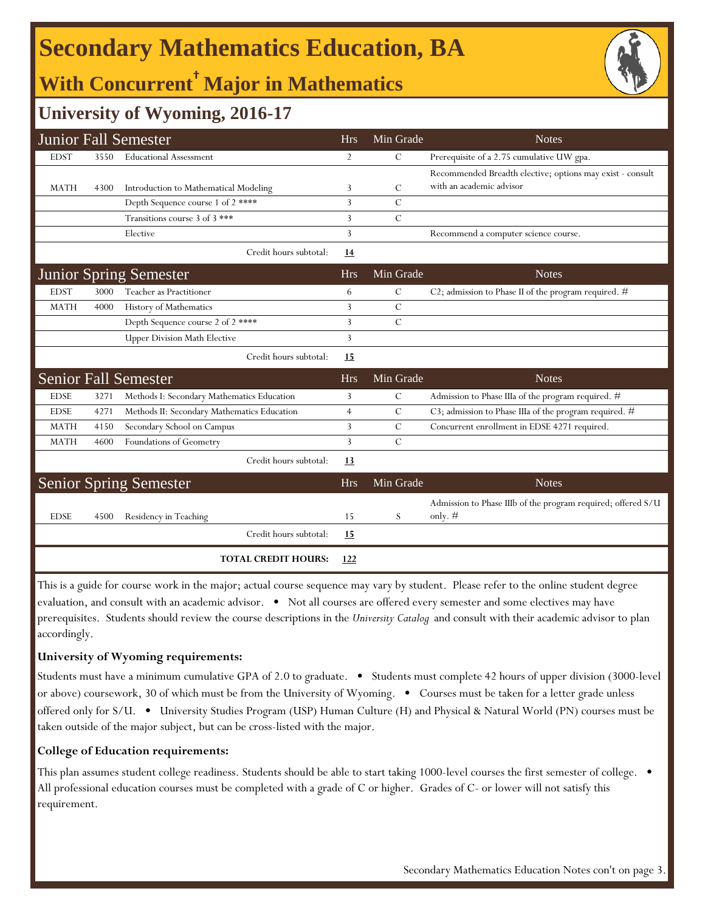# **Secondary Mathematics Education, BA**

# **With Concurrent† Major in Mathematics**



### **University of Wyoming, 2016-17**

|             |      | <b>Junior Fall Semester</b>                 | <b>Hrs</b>     | Min Grade     | <b>Notes</b>                                                              |
|-------------|------|---------------------------------------------|----------------|---------------|---------------------------------------------------------------------------|
| <b>EDST</b> | 3550 | <b>Educational Assessment</b>               | $\overline{2}$ | C             | Prerequisite of a 2.75 cumulative UW gpa.                                 |
|             |      |                                             |                |               | Recommended Breadth elective; options may exist - consult                 |
| <b>MATH</b> | 4300 | Introduction to Mathematical Modeling       | 3              | C             | with an academic advisor                                                  |
|             |      | Depth Sequence course 1 of 2 ****           | 3              | $\mathcal{C}$ |                                                                           |
|             |      | Transitions course 3 of 3 ***               | 3              | C             |                                                                           |
|             |      | Elective                                    | 3              |               | Recommend a computer science course.                                      |
|             |      | Credit hours subtotal:                      | <u>14</u>      |               |                                                                           |
|             |      | <b>Junior Spring Semester</b>               | <b>Hrs</b>     | Min Grade     | <b>Notes</b>                                                              |
| <b>EDST</b> | 3000 | Teacher as Practitioner                     | 6              | C             | C2; admission to Phase II of the program required. $#$                    |
| <b>MATH</b> | 4000 | History of Mathematics                      | 3              | $\mathcal{C}$ |                                                                           |
|             |      | Depth Sequence course 2 of 2 ****           | 3              | $\mathcal{C}$ |                                                                           |
|             |      | <b>Upper Division Math Elective</b>         | 3              |               |                                                                           |
|             |      | Credit hours subtotal:                      | 15             |               |                                                                           |
|             |      | <b>Senior Fall Semester</b>                 | <b>Hrs</b>     | Min Grade     | <b>Notes</b>                                                              |
| <b>EDSE</b> | 3271 | Methods I: Secondary Mathematics Education  | 3              | $\mathcal{C}$ | Admission to Phase IIIa of the program required. #                        |
| <b>EDSE</b> | 4271 | Methods II: Secondary Mathematics Education | $\overline{4}$ | C             | C3; admission to Phase IIIa of the program required. $#$                  |
| <b>MATH</b> | 4150 | Secondary School on Campus                  | 3              | $\mathcal{C}$ | Concurrent enrollment in EDSE 4271 required.                              |
| <b>MATH</b> | 4600 | Foundations of Geometry                     | 3              | $\mathcal{C}$ |                                                                           |
|             |      | Credit hours subtotal:                      | 13             |               |                                                                           |
|             |      | <b>Senior Spring Semester</b>               | <b>Hrs</b>     | Min Grade     | <b>Notes</b>                                                              |
| <b>EDSE</b> | 4500 | Residency in Teaching                       | 15             | S             | Admission to Phase IIIb of the program required; offered S/U<br>only. $#$ |
|             |      | Credit hours subtotal:                      | 15             |               |                                                                           |
|             |      | <b>TOTAL CREDIT HOURS:</b>                  | 122            |               |                                                                           |

This is a guide for course work in the major; actual course sequence may vary by student. Please refer to the online student degree evaluation, and consult with an academic advisor. • Not all courses are offered every semester and some electives may have prerequisites. Students should review the course descriptions in the *University Catalog* and consult with their academic advisor to plan accordingly.

#### **University of Wyoming requirements:**

Students must have a minimum cumulative GPA of 2.0 to graduate. • Students must complete 42 hours of upper division (3000-level or above) coursework, 30 of which must be from the University of Wyoming. • Courses must be taken for a letter grade unless offered only for S/U. • University Studies Program (USP) Human Culture (H) and Physical & Natural World (PN) courses must be taken outside of the major subject, but can be cross-listed with the major.

### **College of Education requirements:**

This plan assumes student college readiness. Students should be able to start taking 1000-level courses the first semester of college. • All professional education courses must be completed with a grade of C or higher. Grades of C- or lower will not satisfy this requirement.